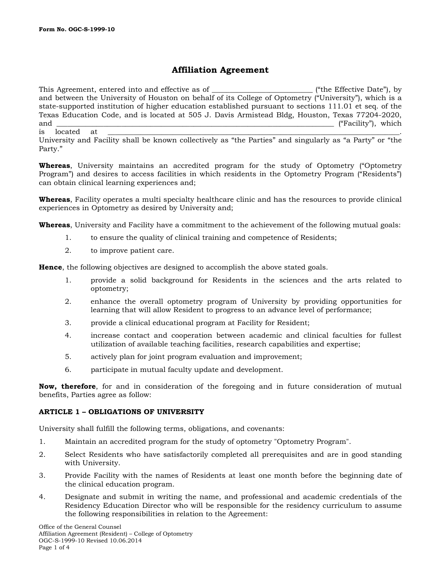# **Affiliation Agreement**

This Agreement, entered into and effective as of \_\_\_\_\_\_\_\_\_\_\_\_\_\_\_\_\_\_\_\_\_\_\_\_\_\_\_\_\_\_\_\_ ("the Effective Date"), by and between the University of Houston on behalf of its College of Optometry ("University"), which is a state-supported institution of higher education established pursuant to sections 111.01 et seq. of the Texas Education Code, and is located at 505 J. Davis Armistead Bldg, Houston, Texas 77204-2020, and \_\_\_\_\_\_\_\_\_\_\_\_\_\_\_\_\_\_\_\_\_\_\_\_\_\_\_\_\_\_\_\_\_\_\_\_\_\_\_\_\_\_\_\_\_\_\_\_\_\_\_\_\_\_\_\_\_\_\_\_\_\_\_\_\_\_\_\_\_\_\_\_\_\_\_\_\_ ("Facility"), which is located at \_\_\_\_\_\_\_\_\_\_\_\_\_\_\_\_\_\_\_\_\_\_\_\_\_\_\_\_\_\_\_\_\_\_\_\_\_\_\_\_\_\_\_\_\_\_\_\_\_\_\_\_\_\_\_\_\_\_\_\_\_\_\_\_\_\_\_\_\_\_\_\_\_\_\_\_\_\_\_\_\_.

University and Facility shall be known collectively as "the Parties" and singularly as "a Party" or "the Party."

**Whereas**, University maintains an accredited program for the study of Optometry ("Optometry Program") and desires to access facilities in which residents in the Optometry Program ("Residents") can obtain clinical learning experiences and;

**Whereas**, Facility operates a multi specialty healthcare clinic and has the resources to provide clinical experiences in Optometry as desired by University and;

**Whereas**, University and Facility have a commitment to the achievement of the following mutual goals:

- 1. to ensure the quality of clinical training and competence of Residents;
- 2. to improve patient care.

**Hence**, the following objectives are designed to accomplish the above stated goals.

- 1. provide a solid background for Residents in the sciences and the arts related to optometry;
- 2. enhance the overall optometry program of University by providing opportunities for learning that will allow Resident to progress to an advance level of performance;
- 3. provide a clinical educational program at Facility for Resident;
- 4. increase contact and cooperation between academic and clinical faculties for fullest utilization of available teaching facilities, research capabilities and expertise;
- 5. actively plan for joint program evaluation and improvement;
- 6. participate in mutual faculty update and development.

**Now, therefore**, for and in consideration of the foregoing and in future consideration of mutual benefits, Parties agree as follow:

#### **ARTICLE 1 – OBLIGATIONS OF UNIVERSITY**

University shall fulfill the following terms, obligations, and covenants:

- 1. Maintain an accredited program for the study of optometry "Optometry Program".
- 2. Select Residents who have satisfactorily completed all prerequisites and are in good standing with University.
- 3. Provide Facility with the names of Residents at least one month before the beginning date of the clinical education program.
- 4. Designate and submit in writing the name, and professional and academic credentials of the Residency Education Director who will be responsible for the residency curriculum to assume the following responsibilities in relation to the Agreement: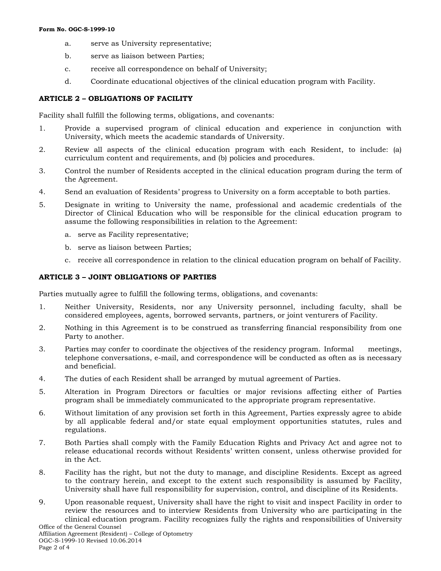- a. serve as University representative;
- b. serve as liaison between Parties;
- c. receive all correspondence on behalf of University;
- d. Coordinate educational objectives of the clinical education program with Facility.

## **ARTICLE 2 – OBLIGATIONS OF FACILITY**

Facility shall fulfill the following terms, obligations, and covenants:

- 1. Provide a supervised program of clinical education and experience in conjunction with University, which meets the academic standards of University.
- 2. Review all aspects of the clinical education program with each Resident, to include: (a) curriculum content and requirements, and (b) policies and procedures.
- 3. Control the number of Residents accepted in the clinical education program during the term of the Agreement.
- 4. Send an evaluation of Residents' progress to University on a form acceptable to both parties.
- 5. Designate in writing to University the name, professional and academic credentials of the Director of Clinical Education who will be responsible for the clinical education program to assume the following responsibilities in relation to the Agreement:
	- a. serve as Facility representative;
	- b. serve as liaison between Parties;
	- c. receive all correspondence in relation to the clinical education program on behalf of Facility.

## **ARTICLE 3 – JOINT OBLIGATIONS OF PARTIES**

Parties mutually agree to fulfill the following terms, obligations, and covenants:

- 1. Neither University, Residents, nor any University personnel, including faculty, shall be considered employees, agents, borrowed servants, partners, or joint venturers of Facility.
- 2. Nothing in this Agreement is to be construed as transferring financial responsibility from one Party to another.
- 3. Parties may confer to coordinate the objectives of the residency program. Informal meetings, telephone conversations, e-mail, and correspondence will be conducted as often as is necessary and beneficial.
- 4. The duties of each Resident shall be arranged by mutual agreement of Parties.
- 5. Alteration in Program Directors or faculties or major revisions affecting either of Parties program shall be immediately communicated to the appropriate program representative.
- 6. Without limitation of any provision set forth in this Agreement, Parties expressly agree to abide by all applicable federal and/or state equal employment opportunities statutes, rules and regulations.
- 7. Both Parties shall comply with the Family Education Rights and Privacy Act and agree not to release educational records without Residents' written consent, unless otherwise provided for in the Act.
- 8. Facility has the right, but not the duty to manage, and discipline Residents. Except as agreed to the contrary herein, and except to the extent such responsibility is assumed by Facility, University shall have full responsibility for supervision, control, and discipline of its Residents.
- Office of the General Counsel 9. Upon reasonable request, University shall have the right to visit and inspect Facility in order to review the resources and to interview Residents from University who are participating in the clinical education program. Facility recognizes fully the rights and responsibilities of University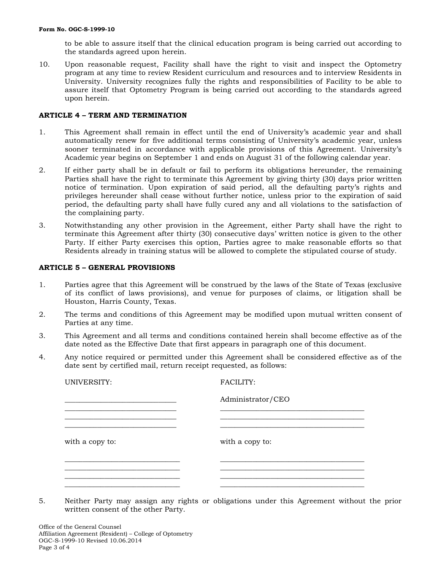to be able to assure itself that the clinical education program is being carried out according to the standards agreed upon herein.

10. Upon reasonable request, Facility shall have the right to visit and inspect the Optometry program at any time to review Resident curriculum and resources and to interview Residents in University. University recognizes fully the rights and responsibilities of Facility to be able to assure itself that Optometry Program is being carried out according to the standards agreed upon herein.

#### **ARTICLE 4 – TERM AND TERMINATION**

- 1. This Agreement shall remain in effect until the end of University's academic year and shall automatically renew for five additional terms consisting of University's academic year, unless sooner terminated in accordance with applicable provisions of this Agreement. University's Academic year begins on September 1 and ends on August 31 of the following calendar year.
- 2. If either party shall be in default or fail to perform its obligations hereunder, the remaining Parties shall have the right to terminate this Agreement by giving thirty (30) days prior written notice of termination. Upon expiration of said period, all the defaulting party's rights and privileges hereunder shall cease without further notice, unless prior to the expiration of said period, the defaulting party shall have fully cured any and all violations to the satisfaction of the complaining party.
- 3. Notwithstanding any other provision in the Agreement, either Party shall have the right to terminate this Agreement after thirty (30) consecutive days' written notice is given to the other Party. If either Party exercises this option, Parties agree to make reasonable efforts so that Residents already in training status will be allowed to complete the stipulated course of study.

#### **ARTICLE 5 – GENERAL PROVISIONS**

- 1. Parties agree that this Agreement will be construed by the laws of the State of Texas (exclusive of its conflict of laws provisions), and venue for purposes of claims, or litigation shall be Houston, Harris County, Texas.
- 2. The terms and conditions of this Agreement may be modified upon mutual written consent of Parties at any time.
- 3. This Agreement and all terms and conditions contained herein shall become effective as of the date noted as the Effective Date that first appears in paragraph one of this document.
- 4. Any notice required or permitted under this Agreement shall be considered effective as of the date sent by certified mail, return receipt requested, as follows:

| UNIVERSITY:     | <b>FACILITY:</b>  |
|-----------------|-------------------|
|                 | Administrator/CEO |
|                 |                   |
| with a copy to: | with a copy to:   |
|                 |                   |
|                 |                   |

5. Neither Party may assign any rights or obligations under this Agreement without the prior written consent of the other Party.